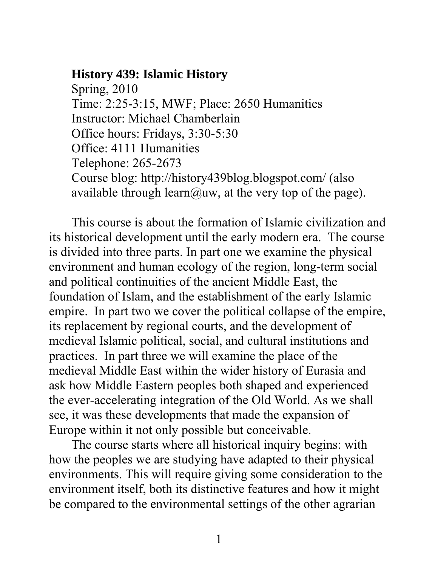## **History 439: Islamic History**

Spring, 2010 Time: 2:25-3:15, MWF; Place: 2650 Humanities Instructor: Michael Chamberlain Office hours: Fridays, 3:30-5:30 Office: 4111 Humanities Telephone: 265-2673 Course blog: <http://history439blog.blogspot.com/>(also available through learn@uw, at the very top of the page).

This course is about the formation of Islamic civilization and its historical development until the early modern era. The course is divided into three parts. In part one we examine the physical environment and human ecology of the region, long-term social and political continuities of the ancient Middle East, the foundation of Islam, and the establishment of the early Islamic empire. In part two we cover the political collapse of the empire, its replacement by regional courts, and the development of medieval Islamic political, social, and cultural institutions and practices. In part three we will examine the place of the medieval Middle East within the wider history of Eurasia and ask how Middle Eastern peoples both shaped and experienced the ever-accelerating integration of the Old World. As we shall see, it was these developments that made the expansion of Europe within it not only possible but conceivable.

The course starts where all historical inquiry begins: with how the peoples we are studying have adapted to their physical environments. This will require giving some consideration to the environment itself, both its distinctive features and how it might be compared to the environmental settings of the other agrarian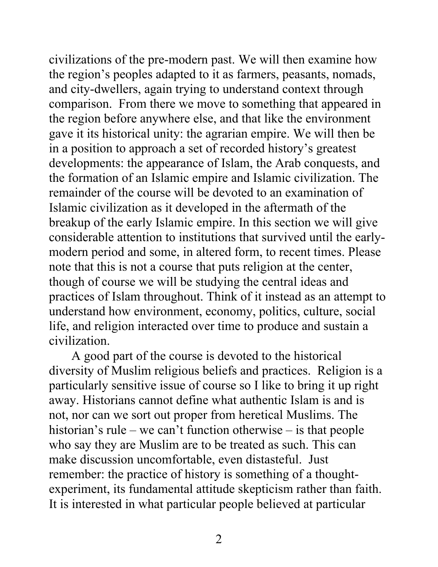civilizations of the pre-modern past. We will then examine how the region's peoples adapted to it as farmers, peasants, nomads, and city-dwellers, again trying to understand context through comparison. From there we move to something that appeared in the region before anywhere else, and that like the environment gave it its historical unity: the agrarian empire. We will then be in a position to approach a set of recorded history's greatest developments: the appearance of Islam, the Arab conquests, and the formation of an Islamic empire and Islamic civilization. The remainder of the course will be devoted to an examination of Islamic civilization as it developed in the aftermath of the breakup of the early Islamic empire. In this section we will give considerable attention to institutions that survived until the earlymodern period and some, in altered form, to recent times. Please note that this is not a course that puts religion at the center, though of course we will be studying the central ideas and practices of Islam throughout. Think of it instead as an attempt to understand how environment, economy, politics, culture, social life, and religion interacted over time to produce and sustain a civilization.

A good part of the course is devoted to the historical diversity of Muslim religious beliefs and practices. Religion is a particularly sensitive issue of course so I like to bring it up right away. Historians cannot define what authentic Islam is and is not, nor can we sort out proper from heretical Muslims. The historian's rule – we can't function otherwise – is that people who say they are Muslim are to be treated as such. This can make discussion uncomfortable, even distasteful. Just remember: the practice of history is something of a thoughtexperiment, its fundamental attitude skepticism rather than faith. It is interested in what particular people believed at particular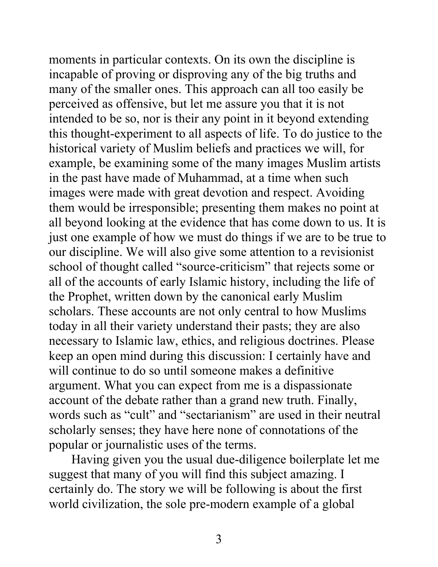moments in particular contexts. On its own the discipline is incapable of proving or disproving any of the big truths and many of the smaller ones. This approach can all too easily be perceived as offensive, but let me assure you that it is not intended to be so, nor is their any point in it beyond extending this thought-experiment to all aspects of life. To do justice to the historical variety of Muslim beliefs and practices we will, for example, be examining some of the many images Muslim artists in the past have made of Muhammad, at a time when such images were made with great devotion and respect. Avoiding them would be irresponsible; presenting them makes no point at all beyond looking at the evidence that has come down to us. It is just one example of how we must do things if we are to be true to our discipline. We will also give some attention to a revisionist school of thought called "source-criticism" that rejects some or all of the accounts of early Islamic history, including the life of the Prophet, written down by the canonical early Muslim scholars. These accounts are not only central to how Muslims today in all their variety understand their pasts; they are also necessary to Islamic law, ethics, and religious doctrines. Please keep an open mind during this discussion: I certainly have and will continue to do so until someone makes a definitive argument. What you can expect from me is a dispassionate account of the debate rather than a grand new truth. Finally, words such as "cult" and "sectarianism" are used in their neutral scholarly senses; they have here none of connotations of the popular or journalistic uses of the terms.

Having given you the usual due-diligence boilerplate let me suggest that many of you will find this subject amazing. I certainly do. The story we will be following is about the first world civilization, the sole pre-modern example of a global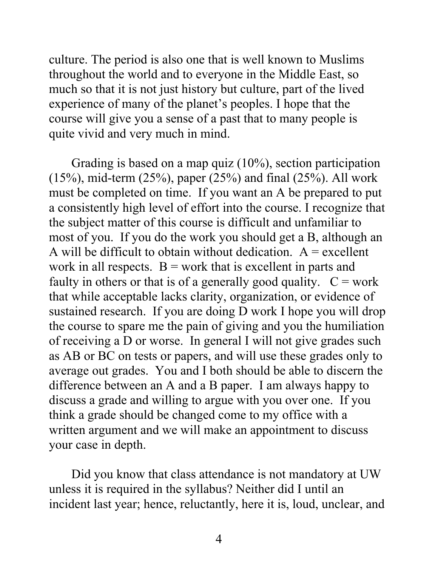culture. The period is also one that is well known to Muslims throughout the world and to everyone in the Middle East, so much so that it is not just history but culture, part of the lived experience of many of the planet's peoples. I hope that the course will give you a sense of a past that to many people is quite vivid and very much in mind.

Grading is based on a map quiz (10%), section participation  $(15\%)$ , mid-term  $(25\%)$ , paper  $(25\%)$  and final  $(25\%)$ . All work must be completed on time. If you want an A be prepared to put a consistently high level of effort into the course. I recognize that the subject matter of this course is difficult and unfamiliar to most of you. If you do the work you should get a B, although an A will be difficult to obtain without dedication.  $A =$  excellent work in all respects.  $B = work$  that is excellent in parts and faulty in others or that is of a generally good quality.  $C = work$ that while acceptable lacks clarity, organization, or evidence of sustained research. If you are doing D work I hope you will drop the course to spare me the pain of giving and you the humiliation of receiving a D or worse. In general I will not give grades such as AB or BC on tests or papers, and will use these grades only to average out grades. You and I both should be able to discern the difference between an A and a B paper. I am always happy to discuss a grade and willing to argue with you over one. If you think a grade should be changed come to my office with a written argument and we will make an appointment to discuss your case in depth.

Did you know that class attendance is not mandatory at UW unless it is required in the syllabus? Neither did I until an incident last year; hence, reluctantly, here it is, loud, unclear, and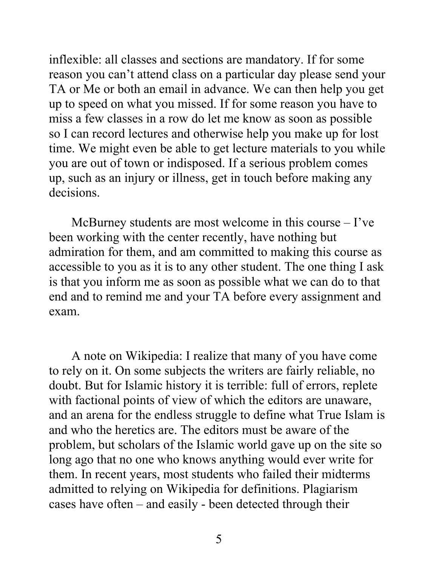inflexible: all classes and sections are mandatory. If for some reason you can't attend class on a particular day please send your TA or Me or both an email in advance. We can then help you get up to speed on what you missed. If for some reason you have to miss a few classes in a row do let me know as soon as possible so I can record lectures and otherwise help you make up for lost time. We might even be able to get lecture materials to you while you are out of town or indisposed. If a serious problem comes up, such as an injury or illness, get in touch before making any decisions.

McBurney students are most welcome in this course – I've been working with the center recently, have nothing but admiration for them, and am committed to making this course as accessible to you as it is to any other student. The one thing I ask is that you inform me as soon as possible what we can do to that end and to remind me and your TA before every assignment and exam.

A note on Wikipedia: I realize that many of you have come to rely on it. On some subjects the writers are fairly reliable, no doubt. But for Islamic history it is terrible: full of errors, replete with factional points of view of which the editors are unaware, and an arena for the endless struggle to define what True Islam is and who the heretics are. The editors must be aware of the problem, but scholars of the Islamic world gave up on the site so long ago that no one who knows anything would ever write for them. In recent years, most students who failed their midterms admitted to relying on Wikipedia for definitions. Plagiarism cases have often – and easily - been detected through their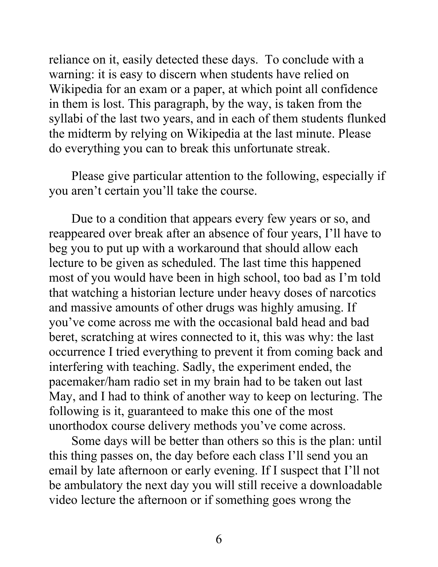reliance on it, easily detected these days. To conclude with a warning: it is easy to discern when students have relied on Wikipedia for an exam or a paper, at which point all confidence in them is lost. This paragraph, by the way, is taken from the syllabi of the last two years, and in each of them students flunked the midterm by relying on Wikipedia at the last minute. Please do everything you can to break this unfortunate streak.

Please give particular attention to the following, especially if you aren't certain you'll take the course.

Due to a condition that appears every few years or so, and reappeared over break after an absence of four years, I'll have to beg you to put up with a workaround that should allow each lecture to be given as scheduled. The last time this happened most of you would have been in high school, too bad as I'm told that watching a historian lecture under heavy doses of narcotics and massive amounts of other drugs was highly amusing. If you've come across me with the occasional bald head and bad beret, scratching at wires connected to it, this was why: the last occurrence I tried everything to prevent it from coming back and interfering with teaching. Sadly, the experiment ended, the pacemaker/ham radio set in my brain had to be taken out last May, and I had to think of another way to keep on lecturing. The following is it, guaranteed to make this one of the most unorthodox course delivery methods you've come across.

Some days will be better than others so this is the plan: until this thing passes on, the day before each class I'll send you an email by late afternoon or early evening. If I suspect that I'll not be ambulatory the next day you will still receive a downloadable video lecture the afternoon or if something goes wrong the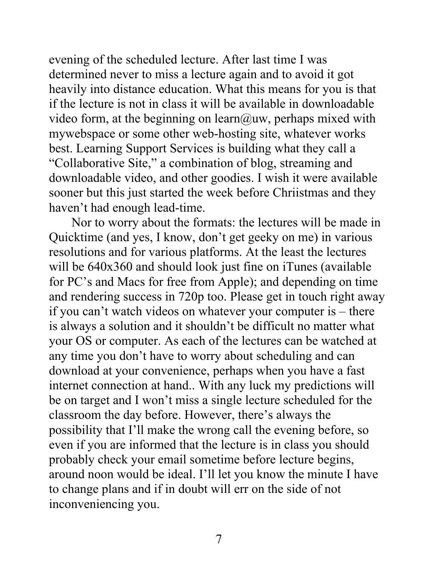evening of the scheduled lecture. After last time I was determined never to miss a lecture again and to avoid it got heavily into distance education. What this means for you is that if the lecture is not in class it will be available in downloadable video form, at the beginning on learn@uw, perhaps mixed with mywebspace or some other web-hosting site, whatever works best. Learning Support Services is building what they call a "Collaborative Site," a combination of blog, streaming and downloadable video, and other goodies. I wish it were available sooner but this just started the week before Chriistmas and they haven't had enough lead-time.

 Nor to worry about the formats: the lectures will be made in Quicktime (and yes, I know, don't get geeky on me) in various resolutions and for various platforms. At the least the lectures will be  $640x360$  and should look just fine on iTunes (available for PC's and Macs for free from Apple); and depending on time and rendering success in 720p too. Please get in touch right away if you can't watch videos on whatever your computer is – there is always a solution and it shouldn't be difficult no matter what your OS or computer. As each of the lectures can be watched at any time you don't have to worry about scheduling and can download at your convenience, perhaps when you have a fast internet connection at hand.. With any luck my predictions will be on target and I won't miss a single lecture scheduled for the classroom the day before. However, there's always the possibility that I'll make the wrong call the evening before, so even if you are informed that the lecture is in class you should probably check your email sometime before lecture begins, around noon would be ideal. I'll let you know the minute I have to change plans and if in doubt will err on the side of not inconveniencing you.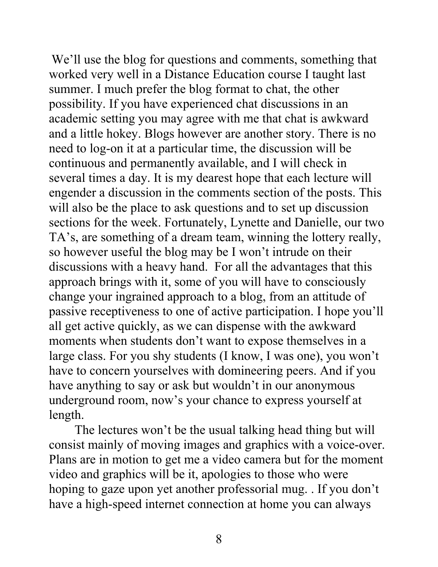We'll use the blog for questions and comments, something that worked very well in a Distance Education course I taught last summer. I much prefer the blog format to chat, the other possibility. If you have experienced chat discussions in an academic setting you may agree with me that chat is awkward and a little hokey. Blogs however are another story. There is no need to log-on it at a particular time, the discussion will be continuous and permanently available, and I will check in several times a day. It is my dearest hope that each lecture will engender a discussion in the comments section of the posts. This will also be the place to ask questions and to set up discussion sections for the week. Fortunately, Lynette and Danielle, our two TA's, are something of a dream team, winning the lottery really, so however useful the blog may be I won't intrude on their discussions with a heavy hand. For all the advantages that this approach brings with it, some of you will have to consciously change your ingrained approach to a blog, from an attitude of passive receptiveness to one of active participation. I hope you'll all get active quickly, as we can dispense with the awkward moments when students don't want to expose themselves in a large class. For you shy students (I know, I was one), you won't have to concern yourselves with domineering peers. And if you have anything to say or ask but wouldn't in our anonymous underground room, now's your chance to express yourself at length.

The lectures won't be the usual talking head thing but will consist mainly of moving images and graphics with a voice-over. Plans are in motion to get me a video camera but for the moment video and graphics will be it, apologies to those who were hoping to gaze upon yet another professorial mug. . If you don't have a high-speed internet connection at home you can always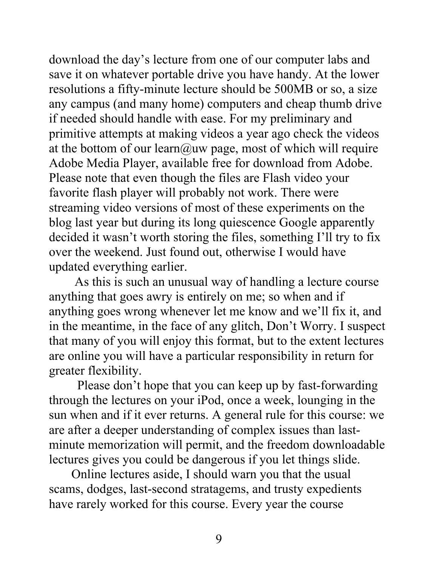download the day's lecture from one of our computer labs and save it on whatever portable drive you have handy. At the lower resolutions a fifty-minute lecture should be 500MB or so, a size any campus (and many home) computers and cheap thumb drive if needed should handle with ease. For my preliminary and primitive attempts at making videos a year ago check the videos at the bottom of our learn@uw page, most of which will require Adobe Media Player, available free for download from Adobe. Please note that even though the files are Flash video your favorite flash player will probably not work. There were streaming video versions of most of these experiments on the blog last year but during its long quiescence Google apparently decided it wasn't worth storing the files, something I'll try to fix over the weekend. Just found out, otherwise I would have updated everything earlier.

As this is such an unusual way of handling a lecture course anything that goes awry is entirely on me; so when and if anything goes wrong whenever let me know and we'll fix it, and in the meantime, in the face of any glitch, Don't Worry. I suspect that many of you will enjoy this format, but to the extent lectures are online you will have a particular responsibility in return for greater flexibility.

Please don't hope that you can keep up by fast-forwarding through the lectures on your iPod, once a week, lounging in the sun when and if it ever returns. A general rule for this course: we are after a deeper understanding of complex issues than lastminute memorization will permit, and the freedom downloadable lectures gives you could be dangerous if you let things slide.

Online lectures aside, I should warn you that the usual scams, dodges, last-second stratagems, and trusty expedients have rarely worked for this course. Every year the course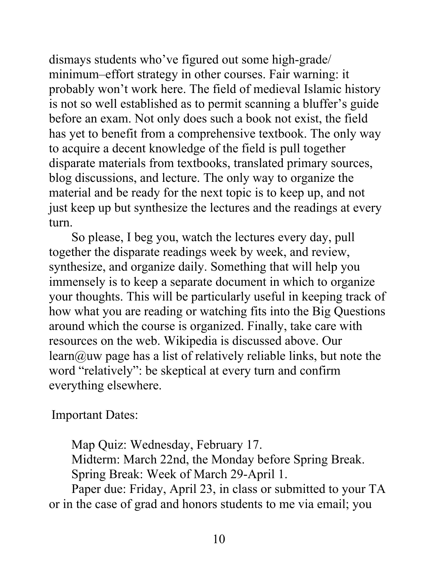dismays students who've figured out some high-grade/ minimum–effort strategy in other courses. Fair warning: it probably won't work here. The field of medieval Islamic history is not so well established as to permit scanning a bluffer's guide before an exam. Not only does such a book not exist, the field has yet to benefit from a comprehensive textbook. The only way to acquire a decent knowledge of the field is pull together disparate materials from textbooks, translated primary sources, blog discussions, and lecture. The only way to organize the material and be ready for the next topic is to keep up, and not just keep up but synthesize the lectures and the readings at every turn.

So please, I beg you, watch the lectures every day, pull together the disparate readings week by week, and review, synthesize, and organize daily. Something that will help you immensely is to keep a separate document in which to organize your thoughts. This will be particularly useful in keeping track of how what you are reading or watching fits into the Big Questions around which the course is organized. Finally, take care with resources on the web. Wikipedia is discussed above. Our learn@uw page has a list of relatively reliable links, but note the word "relatively": be skeptical at every turn and confirm everything elsewhere.

Important Dates:

Map Quiz: Wednesday, February 17. Midterm: March 22nd, the Monday before Spring Break. Spring Break: Week of March 29-April 1.

 Paper due: Friday, April 23, in class or submitted to your TA or in the case of grad and honors students to me via email; you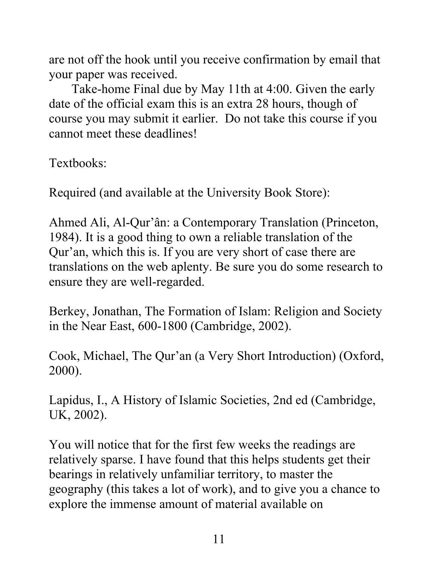are not off the hook until you receive confirmation by email that your paper was received.

 Take-home Final due by May 11th at 4:00. Given the early date of the official exam this is an extra 28 hours, though of course you may submit it earlier. Do not take this course if you cannot meet these deadlines!

Textbooks:

Required (and available at the University Book Store):

Ahmed Ali, Al-Qur'ân: a Contemporary Translation (Princeton, 1984). It is a good thing to own a reliable translation of the Qur'an, which this is. If you are very short of case there are translations on the web aplenty. Be sure you do some research to ensure they are well-regarded.

Berkey, Jonathan, The Formation of Islam: Religion and Society in the Near East, 600-1800 (Cambridge, 2002).

Cook, Michael, The Qur'an (a Very Short Introduction) (Oxford, 2000).

Lapidus, I., A History of Islamic Societies, 2nd ed (Cambridge, UK, 2002).

You will notice that for the first few weeks the readings are relatively sparse. I have found that this helps students get their bearings in relatively unfamiliar territory, to master the geography (this takes a lot of work), and to give you a chance to explore the immense amount of material available on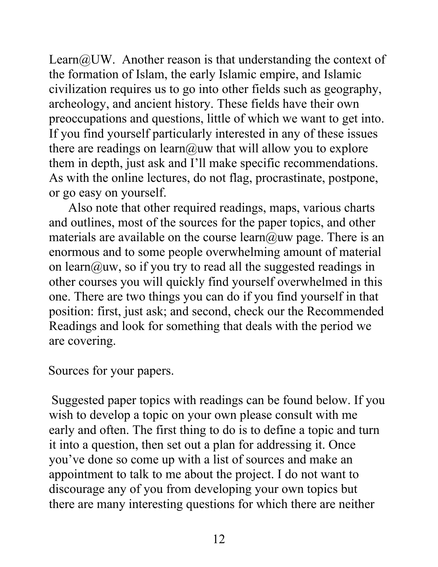Learn $@UW$ . Another reason is that understanding the context of the formation of Islam, the early Islamic empire, and Islamic civilization requires us to go into other fields such as geography, archeology, and ancient history. These fields have their own preoccupations and questions, little of which we want to get into. If you find yourself particularly interested in any of these issues there are readings on learn@uw that will allow you to explore them in depth, just ask and I'll make specific recommendations. As with the online lectures, do not flag, procrastinate, postpone, or go easy on yourself.

 Also note that other required readings, maps, various charts and outlines, most of the sources for the paper topics, and other materials are available on the course learn@uw page. There is an enormous and to some people overwhelming amount of material on learn@uw, so if you try to read all the suggested readings in other courses you will quickly find yourself overwhelmed in this one. There are two things you can do if you find yourself in that position: first, just ask; and second, check our the Recommended Readings and look for something that deals with the period we are covering.

Sources for your papers.

 Suggested paper topics with readings can be found below. If you wish to develop a topic on your own please consult with me early and often. The first thing to do is to define a topic and turn it into a question, then set out a plan for addressing it. Once you've done so come up with a list of sources and make an appointment to talk to me about the project. I do not want to discourage any of you from developing your own topics but there are many interesting questions for which there are neither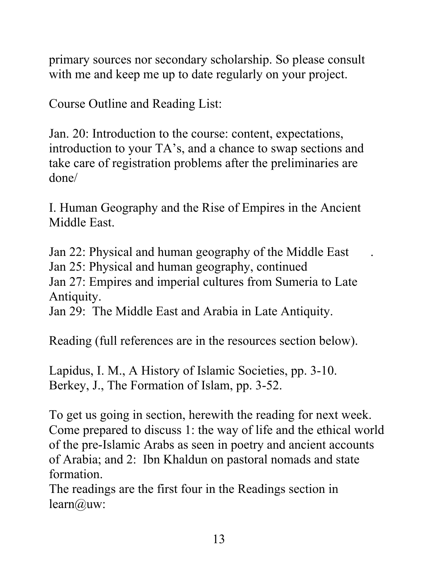primary sources nor secondary scholarship. So please consult with me and keep me up to date regularly on your project.

Course Outline and Reading List:

Jan. 20: Introduction to the course: content, expectations, introduction to your TA's, and a chance to swap sections and take care of registration problems after the preliminaries are done/

I. Human Geography and the Rise of Empires in the Ancient Middle East.

Jan 22: Physical and human geography of the Middle East . Jan 25: Physical and human geography, continued

Jan 27: Empires and imperial cultures from Sumeria to Late Antiquity.

Jan 29: The Middle East and Arabia in Late Antiquity.

Reading (full references are in the resources section below).

Lapidus, I. M., A History of Islamic Societies, pp. 3-10. Berkey, J., The Formation of Islam, pp. 3-52.

To get us going in section, herewith the reading for next week. Come prepared to discuss 1: the way of life and the ethical world of the pre-Islamic Arabs as seen in poetry and ancient accounts of Arabia; and 2: Ibn Khaldun on pastoral nomads and state formation.

The readings are the first four in the Readings section in learn@uw: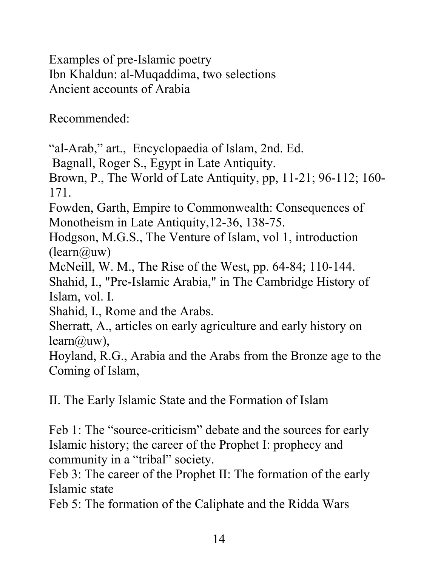Examples of pre-Islamic poetry Ibn Khaldun: al-Muqaddima, two selections Ancient accounts of Arabia

Recommended:

"al-Arab," art., Encyclopaedia of Islam, 2nd. Ed.

Bagnall, Roger S., Egypt in Late Antiquity.

Brown, P., The World of Late Antiquity, pp, 11-21; 96-112; 160- 171.

Fowden, Garth, Empire to Commonwealth: Consequences of Monotheism in Late Antiquity,12-36, 138-75.

Hodgson, M.G.S., The Venture of Islam, vol 1, introduction (learn@uw)

McNeill, W. M., The Rise of the West, pp. 64-84; 110-144.

Shahid, I., "Pre-Islamic Arabia," in The Cambridge History of Islam, vol. I.

Shahid, I., Rome and the Arabs.

Sherratt, A., articles on early agriculture and early history on  $learn(\hat{a}$ uw),

Hoyland, R.G., Arabia and the Arabs from the Bronze age to the Coming of Islam,

II. The Early Islamic State and the Formation of Islam

Feb 1: The "source-criticism" debate and the sources for early Islamic history; the career of the Prophet I: prophecy and community in a "tribal" society.

Feb 3: The career of the Prophet II: The formation of the early Islamic state

Feb 5: The formation of the Caliphate and the Ridda Wars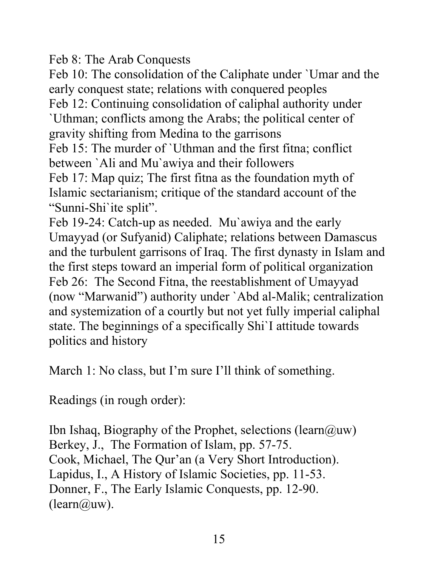Feb 8: The Arab Conquests

Feb 10: The consolidation of the Caliphate under `Umar and the early conquest state; relations with conquered peoples Feb 12: Continuing consolidation of caliphal authority under `Uthman; conflicts among the Arabs; the political center of gravity shifting from Medina to the garrisons Feb 15: The murder of `Uthman and the first fitna; conflict between `Ali and Mu`awiya and their followers Feb 17: Map quiz; The first fitna as the foundation myth of Islamic sectarianism; critique of the standard account of the "Sunni-Shi`ite split".

Feb 19-24: Catch-up as needed. Mu`awiya and the early Umayyad (or Sufyanid) Caliphate; relations between Damascus and the turbulent garrisons of Iraq. The first dynasty in Islam and the first steps toward an imperial form of political organization Feb 26: The Second Fitna, the reestablishment of Umayyad (now "Marwanid") authority under `Abd al-Malik; centralization and systemization of a courtly but not yet fully imperial caliphal state. The beginnings of a specifically Shi`I attitude towards politics and history

March 1: No class, but I'm sure I'll think of something.

Readings (in rough order):

Ibn Ishaq, Biography of the Prophet, selections (learn $(\partial_i u_w)$ ) Berkey, J., The Formation of Islam, pp. 57-75. Cook, Michael, The Qur'an (a Very Short Introduction). Lapidus, I., A History of Islamic Societies, pp. 11-53. Donner, F., The Early Islamic Conquests, pp. 12-90.  $(learn@uw).$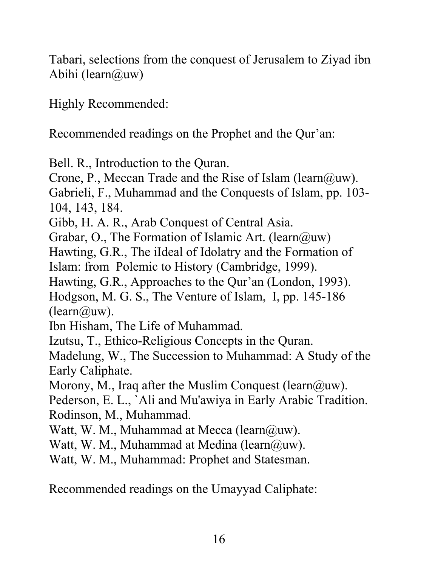Tabari, selections from the conquest of Jerusalem to Ziyad ibn Abihi (learn $@$ uw)

Highly Recommended:

Recommended readings on the Prophet and the Qur'an:

Bell. R., Introduction to the Quran.

Crone, P., Meccan Trade and the Rise of Islam (learn $(\partial_i u_w)$ ). Gabrieli, F., Muhammad and the Conquests of Islam, pp. 103- 104, 143, 184.

Gibb, H. A. R., Arab Conquest of Central Asia.

Grabar, O., The Formation of Islamic Art. (learn $(\partial_{\mu}uv)$ )

Hawting, G.R., The iIdeal of Idolatry and the Formation of Islam: from Polemic to History (Cambridge, 1999).

Hawting, G.R., Approaches to the Qur'an (London, 1993).

Hodgson, M. G. S., The Venture of Islam, I, pp. 145-186  $(learn@<sub>u</sub>w).$ 

Ibn Hisham, The Life of Muhammad.

Izutsu, T., Ethico-Religious Concepts in the Quran.

Madelung, W., The Succession to Muhammad: A Study of the Early Caliphate.

Morony, M., Iraq after the Muslim Conquest (learn $(\partial_i u_w)$ ).

Pederson, E. L., `Ali and Mu'awiya in Early Arabic Tradition. Rodinson, M., Muhammad.

Watt, W. M., Muhammad at Mecca (learn $(\partial_i u_w)$ .

Watt, W. M., Muhammad at Medina (learn $(\partial_i u_w)$ .

Watt, W. M., Muhammad: Prophet and Statesman.

Recommended readings on the Umayyad Caliphate: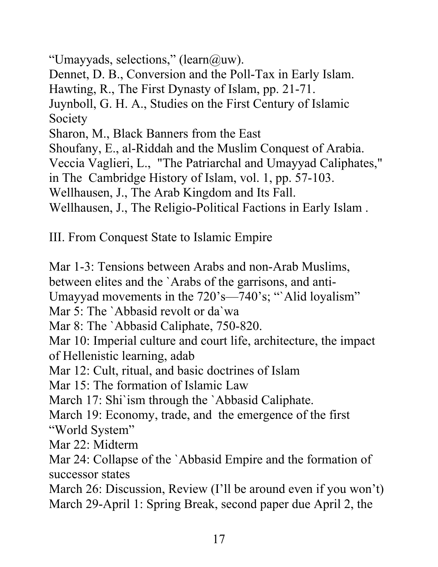```
"Umayyads, selections," (learn(\partial_u u w).
Dennet, D. B., Conversion and the Poll-Tax in Early Islam. 
Hawting, R., The First Dynasty of Islam, pp. 21-71. 
Juynboll, G. H. A., Studies on the First Century of Islamic 
Society 
Sharon, M., Black Banners from the East 
Shoufany, E., al-Riddah and the Muslim Conquest of Arabia. 
Veccia Vaglieri, L., "The Patriarchal and Umayyad Caliphates," 
in The Cambridge History of Islam, vol. 1, pp. 57-103. 
Wellhausen, J., The Arab Kingdom and Its Fall. 
Wellhausen, J., The Religio-Political Factions in Early Islam .
```
III. From Conquest State to Islamic Empire

Mar 1-3: Tensions between Arabs and non-Arab Muslims, between elites and the `Arabs of the garrisons, and anti-Umayyad movements in the 720's—740's; "Alid loyalism" Mar 5: The `Abbasid revolt or da`wa Mar 8: The `Abbasid Caliphate, 750-820. Mar 10: Imperial culture and court life, architecture, the impact of Hellenistic learning, adab Mar 12: Cult, ritual, and basic doctrines of Islam Mar 15: The formation of Islamic Law March 17: Shi'ism through the 'Abbasid Caliphate. March 19: Economy, trade, and the emergence of the first "World System" Mar 22: Midterm Mar 24: Collapse of the `Abbasid Empire and the formation of successor states March 26: Discussion, Review (I'll be around even if you won't) March 29-April 1: Spring Break, second paper due April 2, the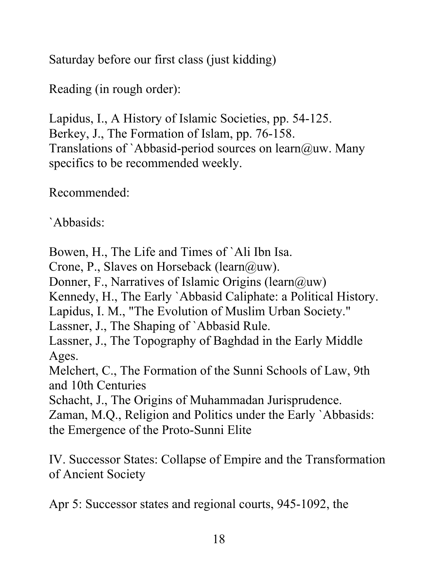Saturday before our first class (just kidding)

Reading (in rough order):

Lapidus, I., A History of Islamic Societies, pp. 54-125. Berkey, J., The Formation of Islam, pp. 76-158. Translations of `Abbasid-period sources on learn@uw. Many specifics to be recommended weekly.

Recommended:

`Abbasids:

Bowen, H., The Life and Times of `Ali Ibn Isa.

Crone, P., Slaves on Horseback (learn@uw).

Donner, F., Narratives of Islamic Origins (learn $(\partial_{\mu}uw)$ 

Kennedy, H., The Early `Abbasid Caliphate: a Political History.

Lapidus, I. M., "The Evolution of Muslim Urban Society."

Lassner, J., The Shaping of `Abbasid Rule.

Lassner, J., The Topography of Baghdad in the Early Middle Ages.

Melchert, C., The Formation of the Sunni Schools of Law, 9th and 10th Centuries

Schacht, J., The Origins of Muhammadan Jurisprudence.

Zaman, M.Q., Religion and Politics under the Early `Abbasids: the Emergence of the Proto-Sunni Elite

IV. Successor States: Collapse of Empire and the Transformation of Ancient Society

Apr 5: Successor states and regional courts, 945-1092, the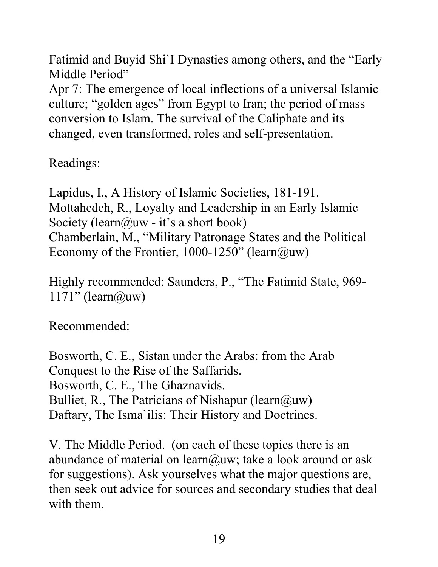Fatimid and Buyid Shi`I Dynasties among others, and the "Early Middle Period"

Apr 7: The emergence of local inflections of a universal Islamic culture; "golden ages" from Egypt to Iran; the period of mass conversion to Islam. The survival of the Caliphate and its changed, even transformed, roles and self-presentation.

Readings:

Lapidus, I., A History of Islamic Societies, 181-191. Mottahedeh, R., Loyalty and Leadership in an Early Islamic Society (learn@uw - it's a short book) Chamberlain, M., "Military Patronage States and the Political Economy of the Frontier, 1000-1250" (learn@uw)

Highly recommended: Saunders, P., "The Fatimid State, 969-  $1171"$  (learn@uw)

Recommended:

Bosworth, C. E., Sistan under the Arabs: from the Arab Conquest to the Rise of the Saffarids. Bosworth, C. E., The Ghaznavids. Bulliet, R., The Patricians of Nishapur (learn $(\partial u)$ uw) Daftary, The Isma`ilis: Their History and Doctrines.

V. The Middle Period. (on each of these topics there is an abundance of material on learn@uw; take a look around or ask for suggestions). Ask yourselves what the major questions are, then seek out advice for sources and secondary studies that deal with them.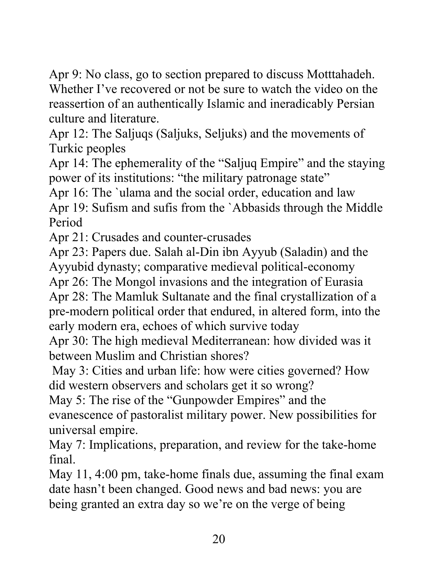Apr 9: No class, go to section prepared to discuss Motttahadeh. Whether I've recovered or not be sure to watch the video on the reassertion of an authentically Islamic and ineradicably Persian culture and literature.

Apr 12: The Saljuqs (Saljuks, Seljuks) and the movements of Turkic peoples

Apr 14: The ephemerality of the "Saljuq Empire" and the staying power of its institutions: "the military patronage state"

Apr 16: The `ulama and the social order, education and law Apr 19: Sufism and sufis from the `Abbasids through the Middle Period

Apr 21: Crusades and counter-crusades

Apr 23: Papers due. Salah al-Din ibn Ayyub (Saladin) and the Ayyubid dynasty; comparative medieval political-economy

Apr 26: The Mongol invasions and the integration of Eurasia

Apr 28: The Mamluk Sultanate and the final crystallization of a pre-modern political order that endured, in altered form, into the early modern era, echoes of which survive today

Apr 30: The high medieval Mediterranean: how divided was it between Muslim and Christian shores?

May 3: Cities and urban life: how were cities governed? How did western observers and scholars get it so wrong?

May 5: The rise of the "Gunpowder Empires" and the evanescence of pastoralist military power. New possibilities for universal empire.

May 7: Implications, preparation, and review for the take-home final.

May 11, 4:00 pm, take-home finals due, assuming the final exam date hasn't been changed. Good news and bad news: you are being granted an extra day so we're on the verge of being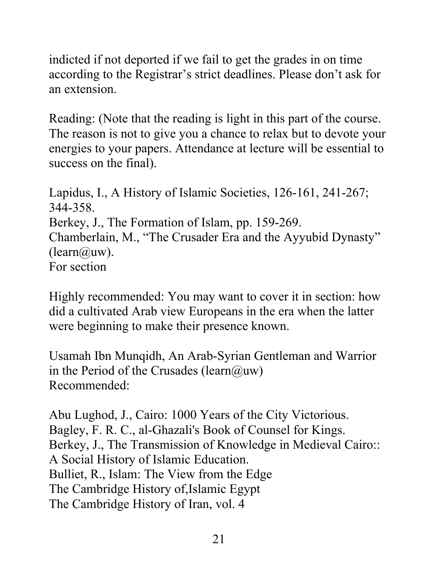indicted if not deported if we fail to get the grades in on time according to the Registrar's strict deadlines. Please don't ask for an extension.

Reading: (Note that the reading is light in this part of the course. The reason is not to give you a chance to relax but to devote your energies to your papers. Attendance at lecture will be essential to success on the final).

Lapidus, I., A History of Islamic Societies, 126-161, 241-267; 344-358. Berkey, J., The Formation of Islam, pp. 159-269. Chamberlain, M., "The Crusader Era and the Ayyubid Dynasty"  $(learn@<sub>u</sub>w).$ For section

Highly recommended: You may want to cover it in section: how did a cultivated Arab view Europeans in the era when the latter were beginning to make their presence known.

Usamah Ibn Munqidh, An Arab-Syrian Gentleman and Warrior in the Period of the Crusades (learn@uw) Recommended:

Abu Lughod, J., Cairo: 1000 Years of the City Victorious. Bagley, F. R. C., al-Ghazali's Book of Counsel for Kings. Berkey, J., The Transmission of Knowledge in Medieval Cairo:: A Social History of Islamic Education. Bulliet, R., Islam: The View from the Edge The Cambridge History of,Islamic Egypt The Cambridge History of Iran, vol. 4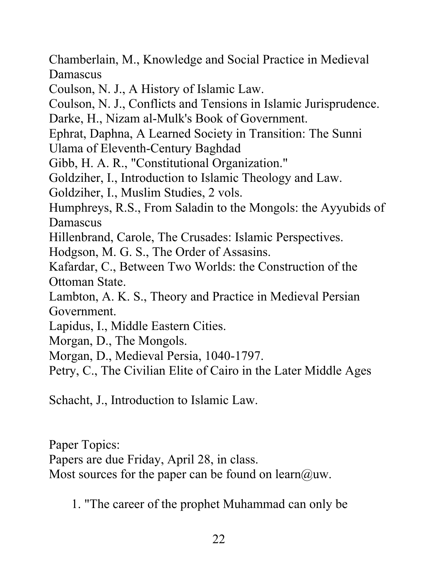Chamberlain, M., Knowledge and Social Practice in Medieval Damascus

Coulson, N. J., A History of Islamic Law.

Coulson, N. J., Conflicts and Tensions in Islamic Jurisprudence.

Darke, H., Nizam al-Mulk's Book of Government.

Ephrat, Daphna, A Learned Society in Transition: The Sunni

Ulama of Eleventh-Century Baghdad

Gibb, H. A. R., "Constitutional Organization."

Goldziher, I., Introduction to Islamic Theology and Law.

Goldziher, I., Muslim Studies, 2 vols.

Humphreys, R.S., From Saladin to the Mongols: the Ayyubids of Damascus

Hillenbrand, Carole, The Crusades: Islamic Perspectives.

Hodgson, M. G. S., The Order of Assasins.

Kafardar, C., Between Two Worlds: the Construction of the Ottoman State.

Lambton, A. K. S., Theory and Practice in Medieval Persian Government.

Lapidus, I., Middle Eastern Cities.

Morgan, D., The Mongols.

Morgan, D., Medieval Persia, 1040-1797.

Petry, C., The Civilian Elite of Cairo in the Later Middle Ages

Schacht, J., Introduction to Islamic Law.

Paper Topics:

Papers are due Friday, April 28, in class.

Most sources for the paper can be found on learn@uw.

1. "The career of the prophet Muhammad can only be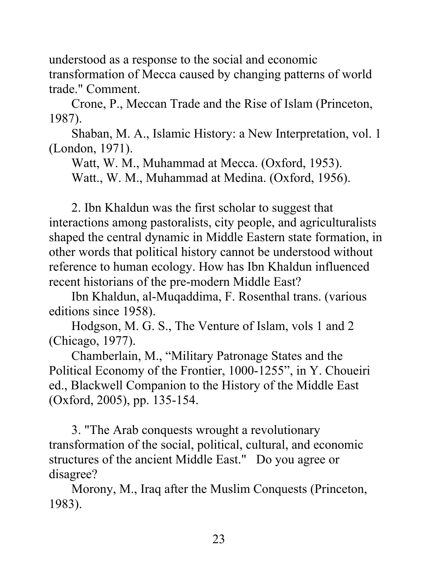understood as a response to the social and economic transformation of Mecca caused by changing patterns of world trade." Comment.

Crone, P., Meccan Trade and the Rise of Islam (Princeton, 1987).

Shaban, M. A., Islamic History: a New Interpretation, vol. 1 (London, 1971).

Watt, W. M., Muhammad at Mecca. (Oxford, 1953).

Watt., W. M., Muhammad at Medina. (Oxford, 1956).

2. Ibn Khaldun was the first scholar to suggest that interactions among pastoralists, city people, and agriculturalists shaped the central dynamic in Middle Eastern state formation, in other words that political history cannot be understood without reference to human ecology. How has Ibn Khaldun influenced recent historians of the pre-modern Middle East?

Ibn Khaldun, al-Muqaddima, F. Rosenthal trans. (various editions since 1958).

Hodgson, M. G. S., The Venture of Islam, vols 1 and 2 (Chicago, 1977).

Chamberlain, M., "Military Patronage States and the Political Economy of the Frontier, 1000-1255", in Y. Choueiri ed., Blackwell Companion to the History of the Middle East (Oxford, 2005), pp. 135-154.

3. "The Arab conquests wrought a revolutionary transformation of the social, political, cultural, and economic structures of the ancient Middle East." Do you agree or disagree?

Morony, M., Iraq after the Muslim Conquests (Princeton, 1983).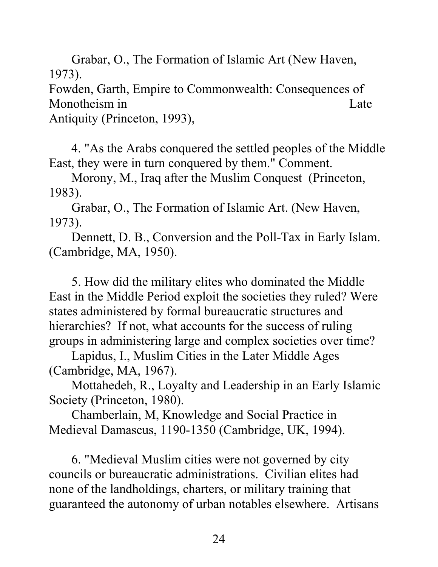Grabar, O., The Formation of Islamic Art (New Haven, 1973).

Fowden, Garth, Empire to Commonwealth: Consequences of Monotheism in Late

Antiquity (Princeton, 1993),

4. "As the Arabs conquered the settled peoples of the Middle East, they were in turn conquered by them." Comment.

Morony, M., Iraq after the Muslim Conquest (Princeton, 1983).

Grabar, O., The Formation of Islamic Art. (New Haven, 1973).

Dennett, D. B., Conversion and the Poll-Tax in Early Islam. (Cambridge, MA, 1950).

5. How did the military elites who dominated the Middle East in the Middle Period exploit the societies they ruled? Were states administered by formal bureaucratic structures and hierarchies? If not, what accounts for the success of ruling groups in administering large and complex societies over time?

Lapidus, I., Muslim Cities in the Later Middle Ages (Cambridge, MA, 1967).

Mottahedeh, R., Loyalty and Leadership in an Early Islamic Society (Princeton, 1980).

 Chamberlain, M, Knowledge and Social Practice in Medieval Damascus, 1190-1350 (Cambridge, UK, 1994).

6. "Medieval Muslim cities were not governed by city councils or bureaucratic administrations. Civilian elites had none of the landholdings, charters, or military training that guaranteed the autonomy of urban notables elsewhere. Artisans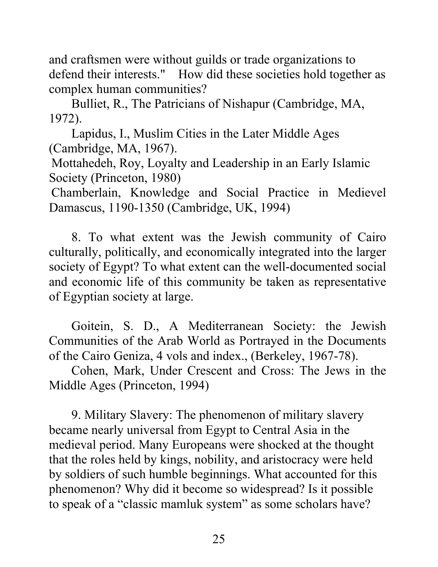and craftsmen were without guilds or trade organizations to defend their interests." How did these societies hold together as complex human communities?

Bulliet, R., The Patricians of Nishapur (Cambridge, MA, 1972).

Lapidus, I., Muslim Cities in the Later Middle Ages (Cambridge, MA, 1967).

Mottahedeh, Roy, Loyalty and Leadership in an Early Islamic Society (Princeton, 1980)

Chamberlain, Knowledge and Social Practice in Medievel Damascus, 1190-1350 (Cambridge, UK, 1994)

8. To what extent was the Jewish community of Cairo culturally, politically, and economically integrated into the larger society of Egypt? To what extent can the well-documented social and economic life of this community be taken as representative of Egyptian society at large.

Goitein, S. D., A Mediterranean Society: the Jewish Communities of the Arab World as Portrayed in the Documents of the Cairo Geniza, 4 vols and index., (Berkeley, 1967-78).

Cohen, Mark, Under Crescent and Cross: The Jews in the Middle Ages (Princeton, 1994)

9. Military Slavery: The phenomenon of military slavery became nearly universal from Egypt to Central Asia in the medieval period. Many Europeans were shocked at the thought that the roles held by kings, nobility, and aristocracy were held by soldiers of such humble beginnings. What accounted for this phenomenon? Why did it become so widespread? Is it possible to speak of a "classic mamluk system" as some scholars have?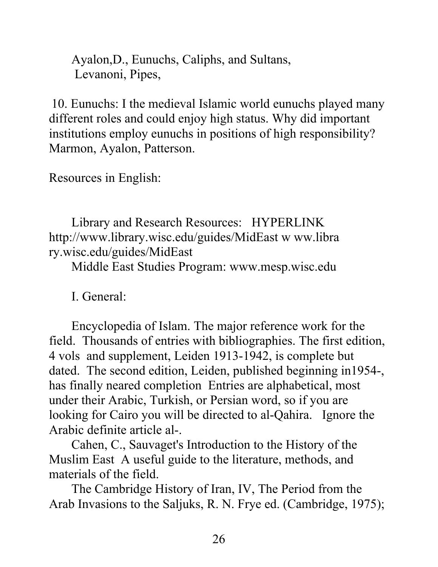Ayalon,D., Eunuchs, Caliphs, and Sultans, Levanoni, Pipes,

 10. Eunuchs: I the medieval Islamic world eunuchs played many different roles and could enjoy high status. Why did important institutions employ eunuchs in positions of high responsibility? Marmon, Ayalon, Patterson.

Resources in English:

Library and Research Resources: HYPERLINK http://www.library.wisc.edu/guides/MidEast w ww.libra ry.wisc.edu/guides/MidEast

Middle East Studies Program: www.mesp.wisc.edu

I. General:

Encyclopedia of Islam. The major reference work for the field. Thousands of entries with bibliographies. The first edition, 4 vols and supplement, Leiden 1913-1942, is complete but dated. The second edition, Leiden, published beginning in1954-, has finally neared completion Entries are alphabetical, most under their Arabic, Turkish, or Persian word, so if you are looking for Cairo you will be directed to al-Qahira. Ignore the Arabic definite article al-.

Cahen, C., Sauvaget's Introduction to the History of the Muslim East A useful guide to the literature, methods, and materials of the field.

The Cambridge History of Iran, IV, The Period from the Arab Invasions to the Saljuks, R. N. Frye ed. (Cambridge, 1975);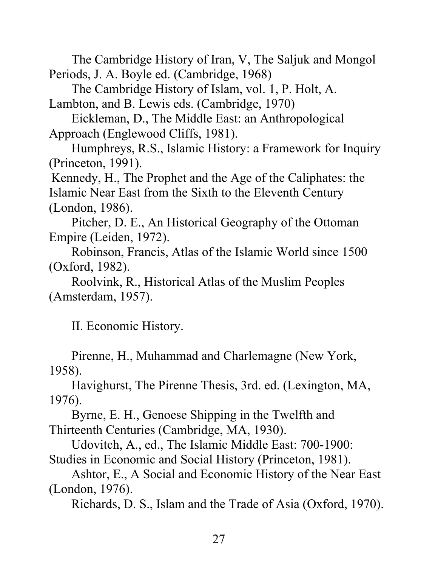The Cambridge History of Iran, V, The Saljuk and Mongol Periods, J. A. Boyle ed. (Cambridge, 1968)

The Cambridge History of Islam, vol. 1, P. Holt, A.

Lambton, and B. Lewis eds. (Cambridge, 1970)

Eickleman, D., The Middle East: an Anthropological Approach (Englewood Cliffs, 1981).

Humphreys, R.S., Islamic History: a Framework for Inquiry (Princeton, 1991).

Kennedy, H., The Prophet and the Age of the Caliphates: the Islamic Near East from the Sixth to the Eleventh Century (London, 1986).

Pitcher, D. E., An Historical Geography of the Ottoman Empire (Leiden, 1972).

Robinson, Francis, Atlas of the Islamic World since 1500 (Oxford, 1982).

Roolvink, R., Historical Atlas of the Muslim Peoples (Amsterdam, 1957).

II. Economic History.

Pirenne, H., Muhammad and Charlemagne (New York, 1958).

Havighurst, The Pirenne Thesis, 3rd. ed. (Lexington, MA, 1976).

Byrne, E. H., Genoese Shipping in the Twelfth and Thirteenth Centuries (Cambridge, MA, 1930).

Udovitch, A., ed., The Islamic Middle East: 700-1900: Studies in Economic and Social History (Princeton, 1981).

Ashtor, E., A Social and Economic History of the Near East (London, 1976).

Richards, D. S., Islam and the Trade of Asia (Oxford, 1970).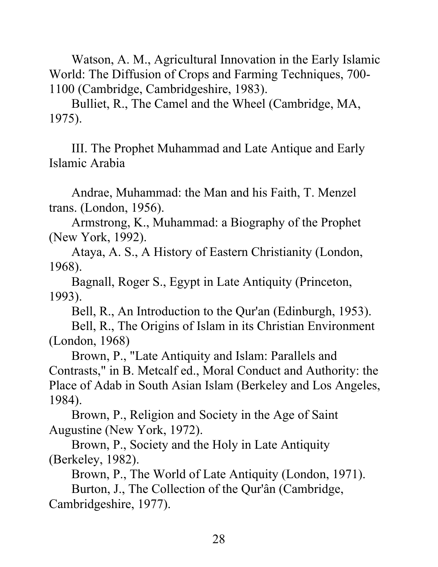Watson, A. M., Agricultural Innovation in the Early Islamic World: The Diffusion of Crops and Farming Techniques, 700- 1100 (Cambridge, Cambridgeshire, 1983).

Bulliet, R., The Camel and the Wheel (Cambridge, MA, 1975).

III. The Prophet Muhammad and Late Antique and Early Islamic Arabia

Andrae, Muhammad: the Man and his Faith, T. Menzel trans. (London, 1956).

Armstrong, K., Muhammad: a Biography of the Prophet (New York, 1992).

Ataya, A. S., A History of Eastern Christianity (London, 1968).

Bagnall, Roger S., Egypt in Late Antiquity (Princeton, 1993).

Bell, R., An Introduction to the Qur'an (Edinburgh, 1953).

Bell, R., The Origins of Islam in its Christian Environment (London, 1968)

Brown, P., "Late Antiquity and Islam: Parallels and Contrasts," in B. Metcalf ed., Moral Conduct and Authority: the Place of Adab in South Asian Islam (Berkeley and Los Angeles, 1984).

Brown, P., Religion and Society in the Age of Saint Augustine (New York, 1972).

Brown, P., Society and the Holy in Late Antiquity (Berkeley, 1982).

Brown, P., The World of Late Antiquity (London, 1971).

Burton, J., The Collection of the Qur'ân (Cambridge, Cambridgeshire, 1977).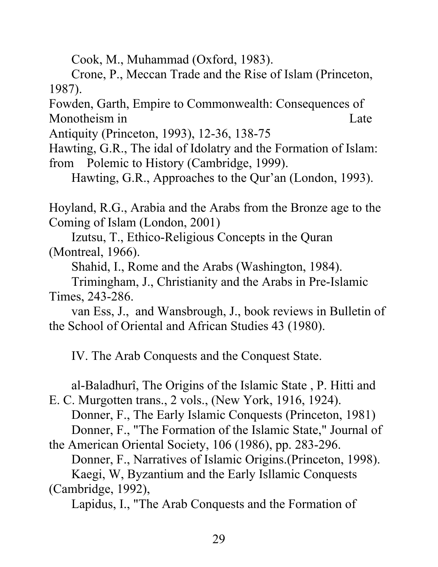Cook, M., Muhammad (Oxford, 1983).

Crone, P., Meccan Trade and the Rise of Islam (Princeton, 1987).

Fowden, Garth, Empire to Commonwealth: Consequences of Monotheism in Late

Antiquity (Princeton, 1993), 12-36, 138-75

Hawting, G.R., The idal of Idolatry and the Formation of Islam: from Polemic to History (Cambridge, 1999).

Hawting, G.R., Approaches to the Qur'an (London, 1993).

Hoyland, R.G., Arabia and the Arabs from the Bronze age to the Coming of Islam (London, 2001)

Izutsu, T., Ethico-Religious Concepts in the Quran (Montreal, 1966).

Shahid, I., Rome and the Arabs (Washington, 1984).

Trimingham, J., Christianity and the Arabs in Pre-Islamic Times, 243-286.

van Ess, J., and Wansbrough, J., book reviews in Bulletin of the School of Oriental and African Studies 43 (1980).

IV. The Arab Conquests and the Conquest State.

al-Baladhurî, The Origins of the Islamic State , P. Hitti and

E. C. Murgotten trans., 2 vols., (New York, 1916, 1924). Donner, F., The Early Islamic Conquests (Princeton, 1981) Donner, F., "The Formation of the Islamic State," Journal of

the American Oriental Society, 106 (1986), pp. 283-296. Donner, F., Narratives of Islamic Origins.(Princeton, 1998). Kaegi, W, Byzantium and the Early Isllamic Conquests (Cambridge, 1992),

Lapidus, I., "The Arab Conquests and the Formation of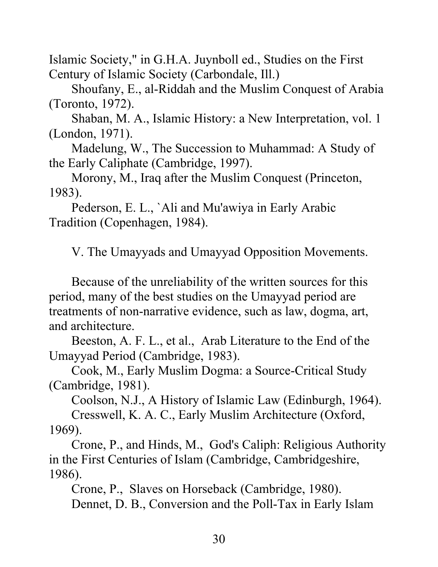Islamic Society," in G.H.A. Juynboll ed., Studies on the First Century of Islamic Society (Carbondale, Ill.)

Shoufany, E., al-Riddah and the Muslim Conquest of Arabia (Toronto, 1972).

Shaban, M. A., Islamic History: a New Interpretation, vol. 1 (London, 1971).

Madelung, W., The Succession to Muhammad: A Study of the Early Caliphate (Cambridge, 1997).

Morony, M., Iraq after the Muslim Conquest (Princeton, 1983).

Pederson, E. L., `Ali and Mu'awiya in Early Arabic Tradition (Copenhagen, 1984).

V. The Umayyads and Umayyad Opposition Movements.

Because of the unreliability of the written sources for this period, many of the best studies on the Umayyad period are treatments of non-narrative evidence, such as law, dogma, art, and architecture.

Beeston, A. F. L., et al., Arab Literature to the End of the Umayyad Period (Cambridge, 1983).

Cook, M., Early Muslim Dogma: a Source-Critical Study (Cambridge, 1981).

Coolson, N.J., A History of Islamic Law (Edinburgh, 1964).

Cresswell, K. A. C., Early Muslim Architecture (Oxford, 1969).

Crone, P., and Hinds, M., God's Caliph: Religious Authority in the First Centuries of Islam (Cambridge, Cambridgeshire, 1986).

Crone, P., Slaves on Horseback (Cambridge, 1980). Dennet, D. B., Conversion and the Poll-Tax in Early Islam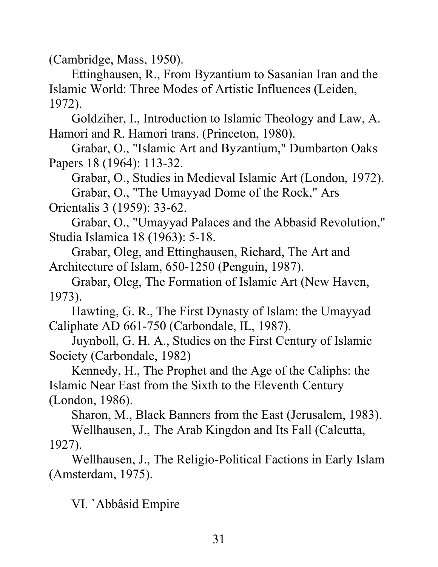(Cambridge, Mass, 1950).

Ettinghausen, R., From Byzantium to Sasanian Iran and the Islamic World: Three Modes of Artistic Influences (Leiden, 1972).

Goldziher, I., Introduction to Islamic Theology and Law, A. Hamori and R. Hamori trans. (Princeton, 1980).

Grabar, O., "Islamic Art and Byzantium," Dumbarton Oaks Papers 18 (1964): 113-32.

Grabar, O., Studies in Medieval Islamic Art (London, 1972). Grabar, O., "The Umayyad Dome of the Rock," Ars Orientalis 3 (1959): 33-62.

Grabar, O., "Umayyad Palaces and the Abbasid Revolution," Studia Islamica 18 (1963): 5-18.

Grabar, Oleg, and Ettinghausen, Richard, The Art and Architecture of Islam, 650-1250 (Penguin, 1987).

Grabar, Oleg, The Formation of Islamic Art (New Haven, 1973).

Hawting, G. R., The First Dynasty of Islam: the Umayyad Caliphate AD 661-750 (Carbondale, IL, 1987).

Juynboll, G. H. A., Studies on the First Century of Islamic Society (Carbondale, 1982)

Kennedy, H., The Prophet and the Age of the Caliphs: the Islamic Near East from the Sixth to the Eleventh Century (London, 1986).

Sharon, M., Black Banners from the East (Jerusalem, 1983). Wellhausen, J., The Arab Kingdon and Its Fall (Calcutta, 1927).

Wellhausen, J., The Religio-Political Factions in Early Islam (Amsterdam, 1975).

VI. `Abbâsid Empire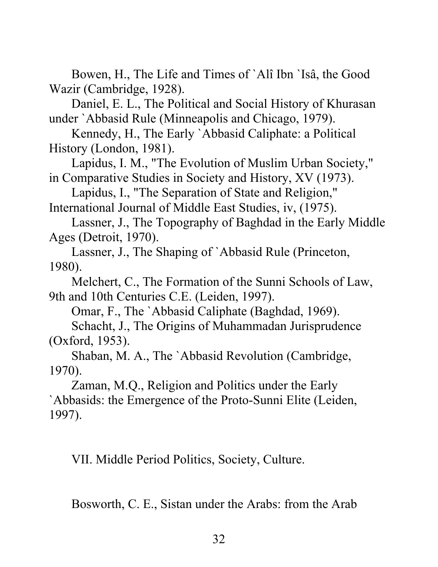Bowen, H., The Life and Times of `Alî Ibn `Isâ, the Good Wazir (Cambridge, 1928).

Daniel, E. L., The Political and Social History of Khurasan under `Abbasid Rule (Minneapolis and Chicago, 1979).

Kennedy, H., The Early `Abbasid Caliphate: a Political History (London, 1981).

Lapidus, I. M., "The Evolution of Muslim Urban Society," in Comparative Studies in Society and History, XV (1973).

Lapidus, I., "The Separation of State and Religion," International Journal of Middle East Studies, iv, (1975).

Lassner, J., The Topography of Baghdad in the Early Middle Ages (Detroit, 1970).

Lassner, J., The Shaping of `Abbasid Rule (Princeton, 1980).

Melchert, C., The Formation of the Sunni Schools of Law, 9th and 10th Centuries C.E. (Leiden, 1997).

Omar, F., The `Abbasid Caliphate (Baghdad, 1969).

Schacht, J., The Origins of Muhammadan Jurisprudence (Oxford, 1953).

Shaban, M. A., The `Abbasid Revolution (Cambridge, 1970).

Zaman, M.Q., Religion and Politics under the Early `Abbasids: the Emergence of the Proto-Sunni Elite (Leiden, 1997).

VII. Middle Period Politics, Society, Culture.

Bosworth, C. E., Sistan under the Arabs: from the Arab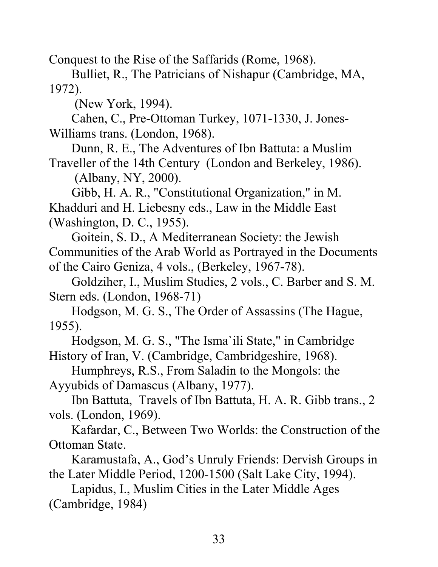Conquest to the Rise of the Saffarids (Rome, 1968).

Bulliet, R., The Patricians of Nishapur (Cambridge, MA, 1972).

(New York, 1994).

Cahen, C., Pre-Ottoman Turkey, 1071-1330, J. Jones-Williams trans. (London, 1968).

Dunn, R. E., The Adventures of Ibn Battuta: a Muslim Traveller of the 14th Century (London and Berkeley, 1986).

(Albany, NY, 2000).

 Gibb, H. A. R., "Constitutional Organization," in M. Khadduri and H. Liebesny eds., Law in the Middle East (Washington, D. C., 1955).

Goitein, S. D., A Mediterranean Society: the Jewish Communities of the Arab World as Portrayed in the Documents of the Cairo Geniza, 4 vols., (Berkeley, 1967-78).

Goldziher, I., Muslim Studies, 2 vols., C. Barber and S. M. Stern eds. (London, 1968-71)

Hodgson, M. G. S., The Order of Assassins (The Hague, 1955).

Hodgson, M. G. S., "The Isma`ili State," in Cambridge History of Iran, V. (Cambridge, Cambridgeshire, 1968).

Humphreys, R.S., From Saladin to the Mongols: the Ayyubids of Damascus (Albany, 1977).

Ibn Battuta, Travels of Ibn Battuta, H. A. R. Gibb trans., 2 vols. (London, 1969).

Kafardar, C., Between Two Worlds: the Construction of the Ottoman State.

Karamustafa, A., God's Unruly Friends: Dervish Groups in the Later Middle Period, 1200-1500 (Salt Lake City, 1994).

Lapidus, I., Muslim Cities in the Later Middle Ages (Cambridge, 1984)